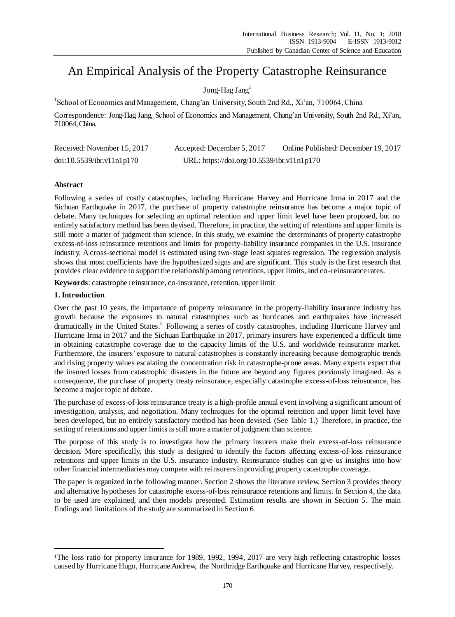# An Empirical Analysis of the Property Catastrophe Reinsurance

Jong-Hag Jang<sup>1</sup>

<sup>1</sup> School of Economics and Management, Chang'an University, South 2nd Rd., Xi'an, 710064, China

Correspondence: Jong-Hag Jang, School of Economics and Management, Chang'an University, South 2nd Rd., Xi'an, 710064, China.

| Received: November 15, 2017 | Accepted: December 5, 2017                 | Online Published: December 19, 2017 |
|-----------------------------|--------------------------------------------|-------------------------------------|
| doi:10.5539/ibr.v11nlp170   | URL: https://doi.org/10.5539/ibr.v11n1p170 |                                     |

# **Abstract**

Following a series of costly catastrophes, including Hurricane Harvey and Hurricane Irma in 2017 and the Sichuan Earthquake in 2017, the purchase of property catastrophe reinsurance has become a major topic of debate. Many techniques for selecting an optimal retention and upper limit level have been proposed, but no entirely satisfactory method has been devised. Therefore, in practice, the setting of retentions and upper limits is still more a matter of judgment than science. In this study, we examine the determinants of property catastrophe excess-of-loss reinsurance retentions and limits for property-liability insurance companies in the U.S. insurance industry. A cross-sectional model is estimated using two-stage least squares regression. The regression analysis shows that most coefficients have the hypothesized signs and are significant. This study is the first research that provides clear evidence to support the relationship among retentions, upper limits, and co-reinsurance rates.

**Keywords**: catastrophe reinsurance, co-insurance, retention, upper limit

# **1. Introduction**

1

Over the past 10 years, the importance of property reinsurance in the property-liability insurance industry has growth because the exposures to natural catastrophes such as hurricanes and earthquakes have increased dramatically in the United States.<sup>1</sup> Following a series of costly catastrophes, including Hurricane Harvey and Hurricane Irma in 2017 and the Sichuan Earthquake in 2017, primary insurers have experienced a difficult time in obtaining catastrophe coverage due to the capacity limits of the U.S. and worldwide reinsurance market. Furthermore, the insurers' exposure to natural catastrophes is constantly increasing because demographic trends and rising property values escalating the concentration risk in catastrophe-prone areas. Many experts expect that the insured losses from catastrophic disasters in the future are beyond any figures previously imagined. As a consequence, the purchase of property treaty reinsurance, especially catastrophe excess-of-loss reinsurance, has become a major topic of debate.

The purchase of excess-of-loss reinsurance treaty is a high-profile annual event involving a significant amount of investigation, analysis, and negotiation. Many techniques for the optimal retention and upper limit level have been developed, but no entirely satisfactory method has been devised. (See Table 1.) Therefore, in practice, the setting of retentions and upper limits is still more a matter of judgment than science.

The purpose of this study is to investigate how the primary insurers make their excess-of-loss reinsurance decision. More specifically, this study is designed to identify the factors affecting excess-of-loss reinsurance retentions and upper limits in the U.S. insurance industry. Reinsurance studies can give us insights into how other financial intermediaries may compete with reinsurers in providing property catastrophe coverage.

The paper is organized in the following manner. Section 2 shows the literature review. Section 3 provides theory and alternative hypotheses for catastrophe excess-of-loss reinsurance retentions and limits. In Section 4, the data to be used are explained, and then models presented. Estimation results are shown in Section 5. The main findings and limitations of the study are summarized in Section 6.

<sup>1</sup>The loss ratio for property insurance for 1989, 1992, 1994, 2017 are very high reflecting catastrophic losses caused by Hurricane Hugo, Hurricane Andrew, the Northridge Earthquake and Hurricane Harvey, respectively.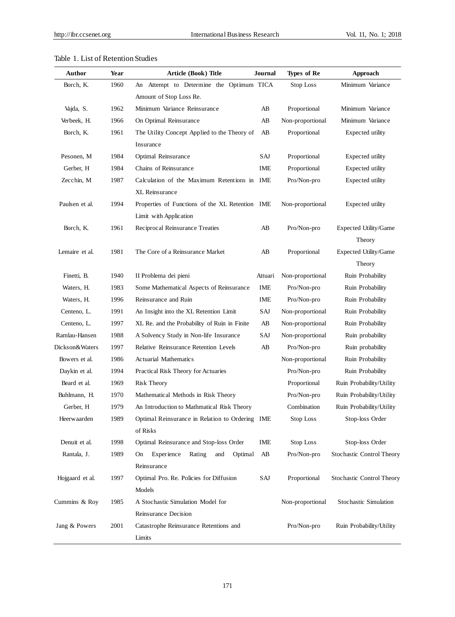| Author          | Year | Article (Book) Title                            | Journal    | Types of Re      | Approach                  |
|-----------------|------|-------------------------------------------------|------------|------------------|---------------------------|
| Borch, K.       | 1960 | An Attempt to Determine the Optimum TICA        |            | Stop Loss        | Minimum Variance          |
|                 |      | Amount of Stop Loss Re.                         |            |                  |                           |
| Vajda, S.       | 1962 | Minimum Variance Reinsurance                    | AB         | Proportional     | Minimum Variance          |
| Verbeek, H.     | 1966 | On Optimal Reinsurance                          | AB         | Non-proportional | Minimum Variance          |
| Borch, K.       | 1961 | The Utility Concept Applied to the Theory of    | AB         | Proportional     | Expected utility          |
|                 |      | Insurance                                       |            |                  |                           |
| Pesonen, M      | 1984 | Optimal Reinsurance                             | SAJ        | Proportional     | Expected utility          |
| Gerber, H       | 1984 | Chains of Reinsurance                           | <b>IME</b> | Proportional     | Expected utility          |
| Zecchin, M      | 1987 | Calculation of the Maximum Retentions in IME    |            | Pro/Non-pro      | Expected utility          |
|                 |      | XL Reinsurance                                  |            |                  |                           |
| Paulsen et al.  | 1994 | Properties of Functions of the XL Retention IME |            | Non-proportional | Expected utility          |
|                 |      | Limit with Application                          |            |                  |                           |
| Borch, K.       | 1961 | Reciprocal Reinsurance Treaties                 | AB         | Pro/Non-pro      | Expected Utility/Game     |
|                 |      |                                                 |            |                  | Theory                    |
| Lemaire et al.  | 1981 | The Core of a Reinsurance Market                | AB         | Proportional     | Expected Utility/Game     |
|                 |      |                                                 |            |                  | Theory                    |
| Finetti, B.     | 1940 | II Problema dei pieni                           | Attuari    | Non-proportional | Ruin Probability          |
| Waters, H.      | 1983 | Some Mathematical Aspects of Reinsurance        | <b>IME</b> | Pro/Non-pro      | Ruin Probability          |
| Waters, H.      | 1996 | Reinsurance and Ruin                            | <b>IME</b> | Pro/Non-pro      | Ruin Probability          |
| Centeno, L.     | 1991 | An Insight into the XL Retention Limit          | SAJ        | Non-proportional | Ruin Probability          |
| Centeno, L.     | 1997 | XL Re. and the Probability of Ruin in Finite    | AB         | Non-proportional | Ruin Probability          |
| Ramlau-Hansen   | 1988 | A Solvency Study in Non-life Insurance          | SAJ        | Non-proportional | Ruin probability          |
| Dickson&Waters  | 1997 | Relative Reinsurance Retention Levels           | AB         | Pro/Non-pro      | Ruin probability          |
| Bowers et al.   | 1986 | <b>Actuarial Mathematics</b>                    |            | Non-proportional | Ruin Probability          |
| Daykin et al.   | 1994 | Practical Risk Theory for Actuaries             |            | Pro/Non-pro      | Ruin Probability          |
| Beard et al.    | 1969 | <b>Risk Theory</b>                              |            | Proportional     | Ruin Probability/Utility  |
| Buhlmann, H.    | 1970 | Mathematical Methods in Risk Theory             |            | Pro/Non-pro      | Ruin Probability/Utility  |
| Gerber, H       | 1979 | An Introduction to Mathmatical Risk Theory      |            | Combination      | Ruin Probability/Utility  |
| Heerwaarden     | 1989 | Optimal Reinsurance in Relation to Ordering IME |            | Stop Loss        | Stop-loss Order           |
|                 |      | of Risks                                        |            |                  |                           |
| Denuit et al.   | 1998 | Optimal Reinsurance and Stop-loss Order         | <b>IME</b> | Stop Loss        | Stop-loss Order           |
| Rantala, J.     | 1989 | Experience<br>Rating<br>Optimal<br>On<br>and    | AΒ         | Pro/Non-pro      | Stochastic Control Theory |
|                 |      | Reinsurance                                     |            |                  |                           |
| Hojgaard et al. | 1997 | Optimal Pro. Re. Policies for Diffusion         | SAJ        | Proportional     | Stochastic Control Theory |
|                 |      | Models                                          |            |                  |                           |
| Cummins & Roy   | 1985 | A Stochastic Simulation Model for               |            | Non-proportional | Stochastic Simulation     |
|                 |      | Reinsurance Decision                            |            |                  |                           |
| Jang & Powers   | 2001 | Catastrophe Reinsurance Retentions and          |            | Pro/Non-pro      | Ruin Probability/Utility  |
|                 |      | Limits                                          |            |                  |                           |

# Table 1. List of Retention Studies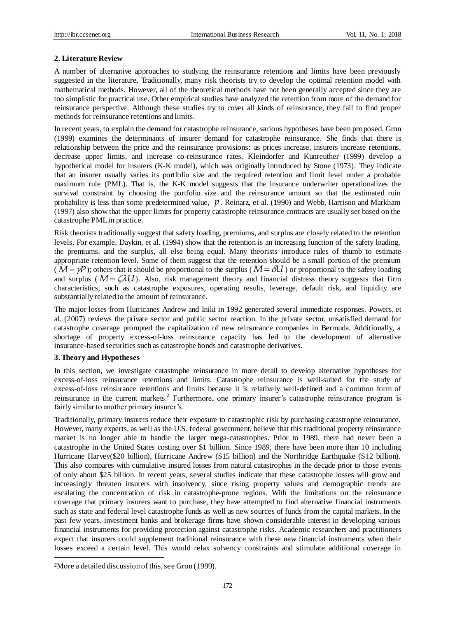# **2. Literature Review**

A number of alternative approaches to studying the reinsurance retentions and limits have been previously suggested in the literature. Traditionally, many risk theorists try to develop the optimal retention model with mathematical methods. However, all of the theoretical methods have not been generally accepted since they are too simplistic for practical use. Other empirical studies have analyzed the retention from more of the demand for reinsurance perspective. Although these studies try to cover all kinds of reinsurance, they fail to find proper methods for reinsurance retentions and limits.

In recent years, to explain the demand for catastrophe reinsurance, various hypotheses have been proposed. Gron (1999) examines the determinants of insurer demand for catastrophe reinsurance. She finds that there is relationship between the price and the reinsurance provisions: as prices increase, insurers increase retentions, decrease upper limits, and increase co-reinsurance rates. Kleindorfer and Kunreuther (1999) develop a hypothetical model for insurers (K-K model), which was originally introduced by Stone (1973). They indicate that an insurer usually varies its portfolio size and the required retention and limit level under a probable maximum rule (PML). That is, the K-K model suggests that the insurance underwriter operationalizes the survival constraint by choosing the portfolio size and the reinsurance amount so that the estimated ruin probability is less than some predetermined value,  $p$ . Reinarz, et al. (1990) and Webb, Harrison and Markham (1997) also show that the upper limits for property catastrophe reinsurance contracts are usually set based on the catastrophe PML in practice.

Risk theorists traditionally suggest that safety loading, premiums, and surplus are closely related to the retention levels. For example, Daykin, et al. (1994) show that the retention is an increasing function of the safety loading, the premiums, and the surplus, all else being equal. Many theorists introduce rules of thumb to estimate appropriate retention level. Some of them suggest that the retention should be a small portion of the premium  $(\overline{M} = \gamma P)$ ; others that it should be proportional to the surplus  $(\overline{M} = \delta U)$  or proportional to the safety loading and surplus ( $M = \zeta \lambda U$ ). Also, risk management theory and financial distress theory suggests that firm characteristics, such as catastrophe exposures, operating results, leverage, default risk, and liquidity are substantially related to the amount of reinsurance.

The major losses from Hurricanes Andrew and Iniki in 1992 generated several immediate responses. Powers, et al. (2007) reviews the private sector and public sector reaction. In the private sector, unsatisfied demand for catastrophe coverage prompted the capitalization of new reinsurance companies in Bermuda. Additionally, a shortage of property excess-of-loss reinsurance capacity has led to the development of alternative insurance-based securities such as catastrophe bonds and catastrophe derivatives.

# **3. Theory and Hypotheses**

1

In this section, we investigate catastrophe reinsurance in more detail to develop alternative hypotheses for excess-of-loss reinsurance retentions and limits. Catastrophe reinsurance is well-suited for the study of excess-of-loss reinsurance retentions and limits because it is relatively well-defined and a common form of reinsurance in the current markets.<sup>2</sup> Furthermore, one primary insurer's catastrophe reinsurance program is fairly similar to another primary insurer's.

Traditionally, primary insurers reduce their exposure to catastrophic risk by purchasing catastrophe reinsurance. However, many experts, as well as the U.S. federal government, believe that this traditional property reinsurance market is no longer able to handle the larger mega-catastrophes. Prior to 1989, there had never been a catastrophe in the United States costing over \$1 billion. Since 1989, there have been more than 10 including Hurricane Harvey(\$20 billion), Hurricane Andrew (\$15 billion) and the Northridge Earthquake (\$12 billion). This also compares with cumulative insured losses from natural catastrophes in the decade prior to those events of only about \$25 billion. In recent years, several studies indicate that these catastrophe losses will grow and increasingly threaten insurers with insolvency, since rising property values and demographic trends are escalating the concentration of risk in catastrophe-prone regions. With the limitations on the reinsurance coverage that primary insurers want to purchase, they have attempted to find alternative financial instruments such as state and federal level catastrophe funds as well as new sources of funds from the capital markets. In the past few years, investment banks and brokerage firms have shown considerable interest in developing various financial instruments for providing protection against catastrophe risks. Academic researchers and practitioners expect that insurers could supplement traditional reinsurance with these new financial instruments when their losses exceed a certain level. This would relax solvency constraints and stimulate additional coverage in

<sup>2</sup>More a detailed discussion of this, see Gron (1999).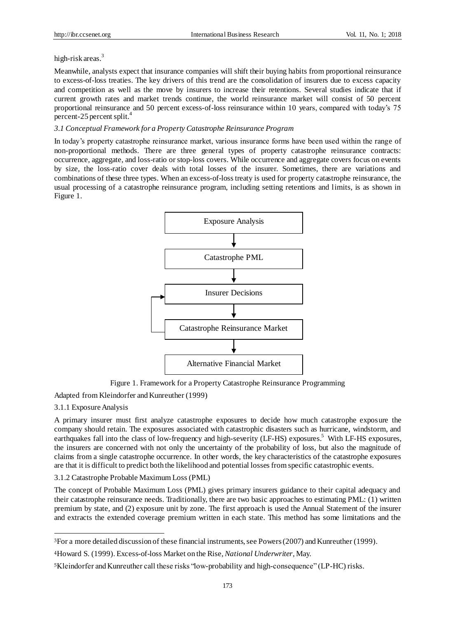# high-risk areas.<sup>3</sup>

Meanwhile, analysts expect that insurance companies will shift their buying habits from proportional reinsurance to excess-of-loss treaties. The key drivers of this trend are the consolidation of insurers due to excess capacity and competition as well as the move by insurers to increase their retentions. Several studies indicate that if current growth rates and market trends continue, the world reinsurance market will consist of 50 percent proportional reinsurance and 50 percent excess-of-loss reinsurance within 10 years, compared with today's 75 percent-25 percent split.<sup>4</sup>

# *3.1 Conceptual Framework for a Property Catastrophe Reinsurance Program*

In today's property catastrophe reinsurance market, various insurance forms have been used within the range of non-proportional methods. There are three general types of property catastrophe reinsurance contracts: occurrence, aggregate, and loss-ratio or stop-loss covers. While occurrence and aggregate covers focus on events by size, the loss-ratio cover deals with total losses of the insurer. Sometimes, there are variations and combinations of these three types. When an excess-of-loss treaty is used for property catastrophe reinsurance, the usual processing of a catastrophe reinsurance program, including setting retentions and limits, is as shown in Figure 1.



Figure 1. Framework for a Property Catastrophe Reinsurance Programming

Adapted from Kleindorfer and Kunreuther (1999)

# 3.1.1 Exposure Analysis

1

A primary insurer must first analyze catastrophe exposures to decide how much catastrophe exposure the company should retain. The exposures associated with catastrophic disasters such as hurricane, windstorm, and earthquakes fall into the class of low-frequency and high-severity (LF-HS) exposures.<sup>5</sup> With LF-HS exposures, the insurers are concerned with not only the uncertainty of the probability of loss, but also the magnitude of claims from a single catastrophe occurrence. In other words, the key characteristics of the catastrophe exposures are that it is difficult to predict both the likelihood and potential losses from specific catastrophic events.

# 3.1.2 Catastrophe Probable Maximum Loss (PML)

The concept of Probable Maximum Loss (PML) gives primary insurers guidance to their capital adequacy and their catastrophe reinsurance needs. Traditionally, there are two basic approaches to estimating PML: (1) written premium by state, and (2) exposure unit by zone. The first approach is used the Annual Statement of the insurer and extracts the extended coverage premium written in each state. This method has some limitations and the

<sup>3</sup>For a more detailed discussion of these financial instruments, see Powers (2007) and Kunreuther (1999).

<sup>4</sup>Howard S. (1999). Excess-of-loss Market on the Rise, *National Underwriter*, May.

<sup>5</sup>Kleindorfer and Kunreuther call these risks "low-probability and high-consequence" (LP-HC) risks.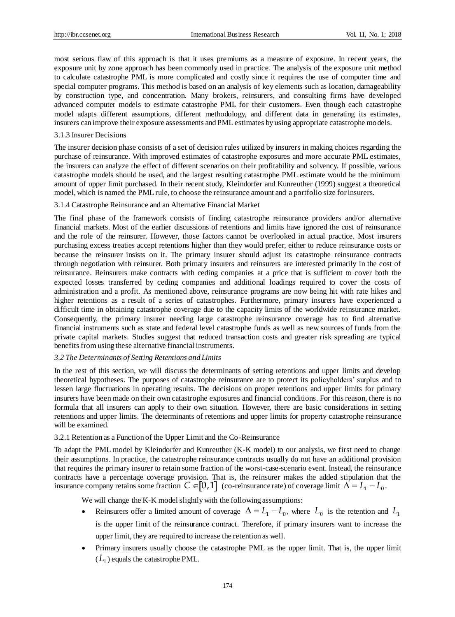most serious flaw of this approach is that it uses premiums as a measure of exposure. In recent years, the exposure unit by zone approach has been commonly used in practice. The analysis of the exposure unit method to calculate catastrophe PML is more complicated and costly since it requires the use of computer time and special computer programs. This method is based on an analysis of key elements such as location, damageability by construction type, and concentration. Many brokers, reinsurers, and consulting firms have developed advanced computer models to estimate catastrophe PML for their customers. Even though each catastrophe model adapts different assumptions, different methodology, and different data in generating its estimates, insurers can improve their exposure assessments and PML estimates by using appropriate catastrophe models.

#### 3.1.3 Insurer Decisions

The insurer decision phase consists of a set of decision rules utilized by insurers in making choices regarding the purchase of reinsurance. With improved estimates of catastrophe exposures and more accurate PML estimates, the insurers can analyze the effect of different scenarios on their profitability and solvency. If possible, various catastrophe models should be used, and the largest resulting catastrophe PML estimate would be the minimum amount of upper limit purchased. In their recent study, Kleindorfer and Kunreuther (1999) suggest a theoretical model, which is named the PML rule, to choose the reinsurance amount and a portfolio size for insurers.

#### 3.1.4 Catastrophe Reinsurance and an Alternative Financial Market

The final phase of the framework consists of finding catastrophe reinsurance providers and/or alternative financial markets. Most of the earlier discussions of retentions and limits have ignored the cost of reinsurance and the role of the reinsurer. However, those factors cannot be overlooked in actual practice. Most insurers purchasing excess treaties accept retentions higher than they would prefer, either to reduce reinsurance costs or because the reinsurer insists on it. The primary insurer should adjust its catastrophe reinsurance contracts through negotiation with reinsurer. Both primary insurers and reinsurers are interested primarily in the cost of reinsurance. Reinsurers make contracts with ceding companies at a price that is sufficient to cover both the expected losses transferred by ceding companies and additional loadings required to cover the costs of administration and a profit. As mentioned above, reinsurance programs are now being hit with rate hikes and higher retentions as a result of a series of catastrophes. Furthermore, primary insurers have experienced a difficult time in obtaining catastrophe coverage due to the capacity limits of the worldwide reinsurance market. Consequently, the primary insurer needing large catastrophe reinsurance coverage has to find alternative financial instruments such as state and federal level catastrophe funds as well as new sources of funds from the private capital markets. Studies suggest that reduced transaction costs and greater risk spreading are typical benefits from using these alternative financial instruments.

# *3.2 The Determinants of Setting Retentions and Limits*

In the rest of this section, we will discuss the determinants of setting retentions and upper limits and develop theoretical hypotheses. The purposes of catastrophe reinsurance are to protect its policyholders' surplus and to lessen large fluctuations in operating results. The decisions on proper retentions and upper limits for primary insurers have been made on their own catastrophe exposures and financial conditions. For this reason, there is no formula that all insurers can apply to their own situation. However, there are basic considerations in setting retentions and upper limits. The determinants of retentions and upper limits for property catastrophe reinsurance will be examined.

#### 3.2.1 Retention as a Function of the Upper Limit and the Co-Reinsurance

To adapt the PML model by Kleindorfer and Kunreuther (K-K model) to our analysis, we first need to change their assumptions. In practice, the catastrophe reinsurance contracts usually do not have an additional provision that requires the primary insurer to retain some fraction of the worst-case-scenario event. Instead, the reinsurance contracts have a percentage coverage provision. That is, the reinsurer makes the added stipulation that the insurance company retains some fraction  $C \in [0,1]$  (co-reinsurance rate) of coverage limit  $\Delta = L_1 - L_0$ .

We will change the K-K model slightly with the following assumptions:

- Reinsurers offer a limited amount of coverage  $\Delta = L_1 L_0$ , where  $L_0$  is the retention and  $L_1$ is the upper limit of the reinsurance contract. Therefore, if primary insurers want to increase the upper limit, they are required to increase the retention as well.
- Primary insurers usually choose the catastrophe PML as the upper limit. That is, the upper limit  $(L_1)$  equals the catastrophe PML.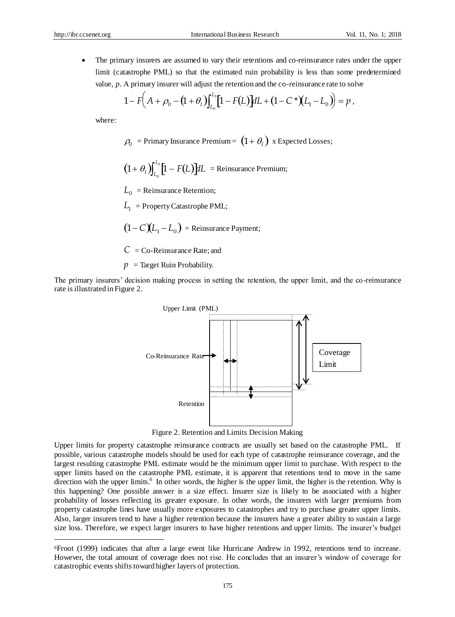1

 The primary insurers are assumed to vary their retentions and co-reinsurance rates under the upper limit (catastrophe PML) so that the estimated ruin probability is less than some predetermined value, *p*. A primary insurer will adjust the retention and the co-reinsurance rate to solve

$$
1 - F(A + \rho_0 - (1 + \theta_1) \int_{L_0}^{L_1} [1 - F(L)] dL + (1 - C^*) (L_1 - L_0) = p,
$$

where:

$$
\rho_0
$$
 = Primary Insurance Premium =  $(1 + \theta_I)$  x Expected Losses;

- $(1 + \theta_I) \int_{L_0}^{L_1} [1 F(L)] dL$  $\int_{L_0}^{L_1} [1 - F(L)] dL$  = Reinsurance Premium;
- $L_0$  = Reinsurance Retention;
- *L*1 = Property Catastrophe PML;

$$
(1 - C)(L_1 - L_0) = \text{Reinsurance Payment};
$$

- *C* = Co-Reinsurance Rate; and
- $p$  = Target Ruin Probability.

The primary insurers' decision making process in setting the retention, the upper limit, and the co-reinsurance rate is illustrated in Figure 2.



Figure 2. Retention and Limits Decision Making

Upper limits for property catastrophe reinsurance contracts are usually set based on the catastrophe PML. If possible, various catastrophe models should be used for each type of catastrophe reinsurance coverage, and the largest resulting catastrophe PML estimate would be the minimum upper limit to purchase. With respect to the upper limits based on the catastrophe PML estimate, it is apparent that retentions tend to move in the same direction with the upper limits.<sup>6</sup> In other words, the higher is the upper limit, the higher is the retention. Why is this happening? One possible answer is a size effect. Insurer size is likely to be associated with a higher probability of losses reflecting its greater exposure. In other words, the insurers with larger premiums from property catastrophe lines have usually more exposures to catastrophes and try to purchase greater upper limits. Also, larger insurers tend to have a higher retention because the insurers have a greater ability to sustain a large size loss. Therefore, we expect larger insurers to have higher retentions and upper limits. The insurer's budget

<sup>6</sup>Froot (1999) indicates that after a large event like Hurricane Andrew in 1992, retentions tend to increase. However, the total amount of coverage does not rise. He concludes that an insurer's window of coverage for catastrophic events shifts toward higher layers of protection.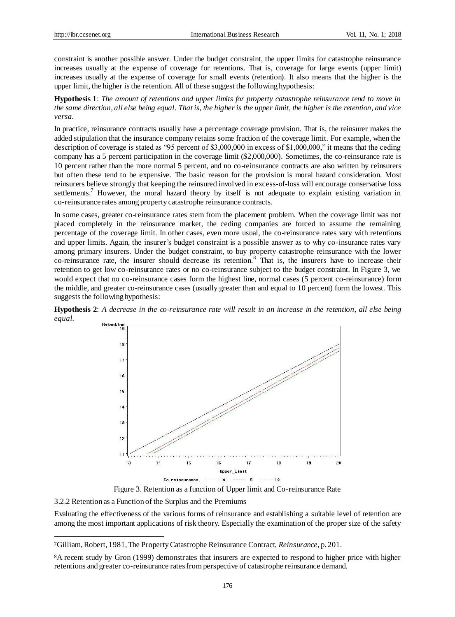constraint is another possible answer. Under the budget constraint, the upper limits for catastrophe reinsurance increases usually at the expense of coverage for retentions. That is, coverage for large events (upper limit) increases usually at the expense of coverage for small events (retention). It also means that the higher is the upper limit, the higher is the retention. All of these suggest the following hypothesis:

**Hypothesis 1**: *The amount of retentions and upper limits for property catastrophe reinsurance tend to move in the same direction, all else being equal. That is, the higher is the upper limit, the higher is the retention, and vice versa.*

In practice, reinsurance contracts usually have a percentage coverage provision. That is, the reinsurer makes the added stipulation that the insurance company retains some fraction of the coverage limit. For example, when the description of coverage is stated as "95 percent of \$3,000,000 in excess of \$1,000,000," it means that the ceding company has a 5 percent participation in the coverage limit (\$2,000,000). Sometimes, the co-reinsurance rate is 10 percent rather than the more normal 5 percent, and no co-reinsurance contracts are also written by reinsurers but often these tend to be expensive. The basic reason for the provision is moral hazard consideration. Most reinsurers believe strongly that keeping the reinsured involved in excess-of-loss will encourage conservative loss settlements.<sup>7</sup> However, the moral hazard theory by itself is not adequate to explain existing variation in co-reinsurance rates among property catastrophe reinsurance contracts.

In some cases, greater co-reinsurance rates stem from the placement problem. When the coverage limit was not placed completely in the reinsurance market, the ceding companies are forced to assume the remaining percentage of the coverage limit. In other cases, even more usual, the co-reinsurance rates vary with retentions and upper limits. Again, the insurer's budget constraint is a possible answer as to why co-insurance rates vary among primary insurers. Under the budget constraint, to buy property catastrophe reinsurance with the lower co-reinsurance rate, the insurer should decrease its retention.<sup>8</sup> That is, the insurers have to increase their retention to get low co-reinsurance rates or no co-reinsurance subject to the budget constraint. In Figure 3, we would expect that no co-reinsurance cases form the highest line, normal cases (5 percent co-reinsurance) form the middle, and greater co-reinsurance cases (usually greater than and equal to 10 percent) form the lowest. This suggests the following hypothesis:





Figure 3. Retention as a function of Upper limit and Co-reinsurance Rate

3.2.2 Retention as a Function of the Surplus and the Premiums

1

Evaluating the effectiveness of the various forms of reinsurance and establishing a suitable level of retention are among the most important applications of risk theory. Especially the examination of the proper size of the safety

<sup>7</sup>Gilliam, Robert, 1981, The Property Catastrophe Reinsurance Contract, *Reinsurance*, p. 201.

<sup>8</sup>A recent study by Gron (1999) demonstrates that insurers are expected to respond to higher price with higher retentions and greater co-reinsurance rates from perspective of catastrophe reinsurance demand.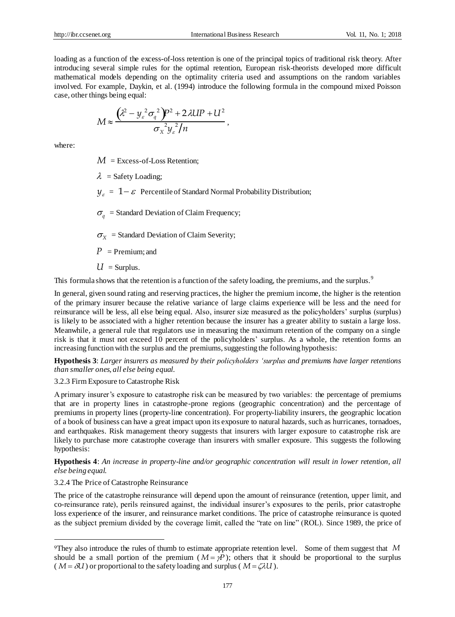loading as a function of the excess-of-loss retention is one of the principal topics of traditional risk theory. After introducing several simple rules for the optimal retention, European risk-theorists developed more difficult mathematical models depending on the optimality criteria used and assumptions on the random variables involved. For example, Daykin, et al. (1994) introduce the following formula in the compound mixed Poisson case, other things being equal:

$$
M \approx \frac{(\lambda^2 - y_s^2 \sigma_q^2)^{2} + 2\lambda UP + U^2}{\sigma_x^2 y_s^2 / n},
$$

where:

*M* = Excess-of-Loss Retention;

 $\lambda$  = Safety Loading;

 $y_{\varepsilon} = 1 - \varepsilon$  Percentile of Standard Normal Probability Distribution;

 $\sigma_q$  = Standard Deviation of Claim Frequency;

 $\sigma_X$  = Standard Deviation of Claim Severity;

 $P =$  Premium; and

 $U =$  Surplus.

This formula shows that the retention is a function of the safety loading, the premiums, and the surplus.<sup>9</sup>

In general, given sound rating and reserving practices, the higher the premium income, the higher is the retention of the primary insurer because the relative variance of large claims experience will be less and the need for reinsurance will be less, all else being equal. Also, insurer size measured as the policyholders' surplus (surplus) is likely to be associated with a higher retention because the insurer has a greater ability to sustain a large loss. Meanwhile, a general rule that regulators use in measuring the maximum retention of the company on a single risk is that it must not exceed 10 percent of the policyholders' surplus. As a whole, the retention forms an increasing function with the surplus and the premiums, suggesting the following hypothesis:

**Hypothesis 3**: *Larger insurers as measured by their policyholders 'surplus and premiums have larger retentions than smaller ones, all else being equal.*

#### 3.2.3 Firm Exposure to Catastrophe Risk

A primary insurer's exposure to catastrophe risk can be measured by two variables: the percentage of premiums that are in property lines in catastrophe-prone regions (geographic concentration) and the percentage of premiums in property lines (property-line concentration). For property-liability insurers, the geographic location of a book of business can have a great impact upon its exposure to natural hazards, such as hurricanes, tornadoes, and earthquakes. Risk management theory suggests that insurers with larger exposure to catastrophe risk are likely to purchase more catastrophe coverage than insurers with smaller exposure. This suggests the following hypothesis:

**Hypothesis 4**: *An increase in property-line and/or geographic concentration will result in lower retention, all else being equal.* 

# 3.2.4 The Price of Catastrophe Reinsurance

1

The price of the catastrophe reinsurance will depend upon the amount of reinsurance (retention, upper limit, and co-reinsurance rate), perils reinsured against, the individual insurer's exposures to the perils, prior catastrophe loss experience of the insurer, and reinsurance market conditions. The price of catastrophe reinsurance is quoted as the subject premium divided by the coverage limit, called the "rate on line" (ROL). Since 1989, the price of

<sup>9</sup>They also introduce the rules of thumb to estimate appropriate retention level. Some of them suggest that *M* should be a small portion of the premium ( $M = \gamma P$ ); others that it should be proportional to the surplus ( $M = \delta U$ ) or proportional to the safety loading and surplus ( $M = \zeta \lambda U$ ).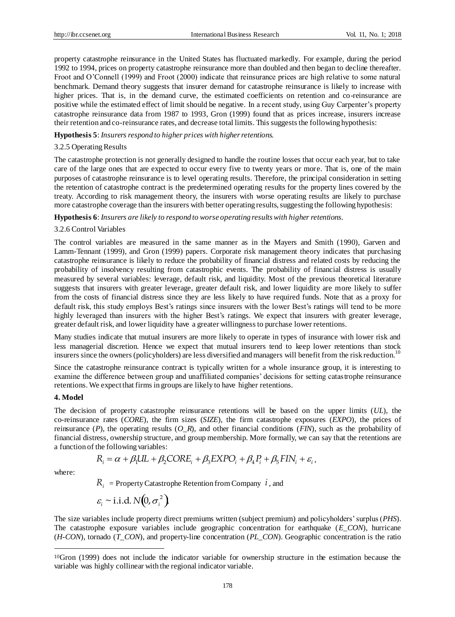property catastrophe reinsurance in the United States has fluctuated markedly. For example, during the period 1992 to 1994, prices on property catastrophe reinsurance more than doubled and then began to decline thereafter. Froot and O'Connell (1999) and Froot (2000) indicate that reinsurance prices are high relative to some natural benchmark. Demand theory suggests that insurer demand for catastrophe reinsurance is likely to increase with higher prices. That is, in the demand curve, the estimated coefficients on retention and co-reinsurance are positive while the estimated effect of limit should be negative. In a recent study, using Guy Carpenter's property catastrophe reinsurance data from 1987 to 1993, Gron (1999) found that as prices increase, insurers increase their retention and co-reinsurance rates, and decrease total limits. This suggests the following hypothesis:

# **Hypothesis 5**: *Insurers respond to higher prices with higher retentions.*

#### 3.2.5 Operating Results

The catastrophe protection is not generally designed to handle the routine losses that occur each year, but to take care of the large ones that are expected to occur every five to twenty years or more. That is, one of the main purposes of catastrophe reinsurance is to level operating results. Therefore, the principal consideration in setting the retention of catastrophe contract is the predetermined operating results for the property lines covered by the treaty. According to risk management theory, the insurers with worse operating results are likely to purchase more catastrophe coverage than the insurers with better operating results, suggesting the following hypothesis:

**Hypothesis 6**: *Insurers are likely to respond to worse operating results with higher retentions.*

#### 3.2.6 Control Variables

The control variables are measured in the same manner as in the Mayers and Smith (1990), Garven and Lamm-Tennant (1999), and Gron (1999) papers. Corporate risk management theory indicates that purchasing catastrophe reinsurance is likely to reduce the probability of financial distress and related costs by reducing the probability of insolvency resulting from catastrophic events. The probability of financial distress is usually measured by several variables: leverage, default risk, and liquidity. Most of the previous theoretical literature suggests that insurers with greater leverage, greater default risk, and lower liquidity are more likely to suffer from the costs of financial distress since they are less likely to have required funds. Note that as a proxy for default risk, this study employs Best's ratings since insurers with the lower Best's ratings will tend to be more highly leveraged than insurers with the higher Best's ratings. We expect that insurers with greater leverage, greater default risk, and lower liquidity have a greater willingness to purchase lower retentions.

Many studies indicate that mutual insurers are more likely to operate in types of insurance with lower risk and less managerial discretion. Hence we expect that mutual insurers tend to keep lower retentions than stock insurers since the owners (policyholders) are less diversified and managers will benefit from the risk reduction.<sup>10</sup>

Since the catastrophe reinsurance contract is typically written for a whole insurance group, it is interesting to examine the difference between group and unaffiliated companies' decisions for setting catastrophe reinsurance retentions. We expect that firms in groups are likely to have higher retentions.

#### **4. Model**

The decision of property catastrophe reinsurance retentions will be based on the upper limits (*UL*), the co-reinsurance rates (*CORE*), the firm sizes (*SIZE*), the firm catastrophe exposures (*EXPO*), the prices of reinsurance (*P*), the operating results (*O\_R*), and other financial conditions (*FIN*), such as the probability of financial distress, ownership structure, and group membership. More formally, we can say that the retentions are a function of the following variables:

$$
R_i = \alpha + \beta_1 UL + \beta_2 CORE_i + \beta_3 EXPO_i + \beta_4 P_i + \beta_5 FIN_i + \varepsilon_i,
$$

where:

1

 $R_i$  = Property Catastrophe Retention from Company  $i$ , and

$$
\varepsilon_i \sim \text{i.i.d.}\, N\big(0, \sigma_i^2\big)
$$

The size variables include property direct premiums written (subject premium) and policyholders' surplus (*PHS*). The catastrophe exposure variables include geographic concentration for earthquake (*E\_CON*), hurricane (*H-CON*), tornado (*T\_CON*), and property-line concentration (*PL\_CON*). Geographic concentration is the ratio

<sup>10</sup>Gron (1999) does not include the indicator variable for ownership structure in the estimation because the variable was highly collinear with the regional indicator variable.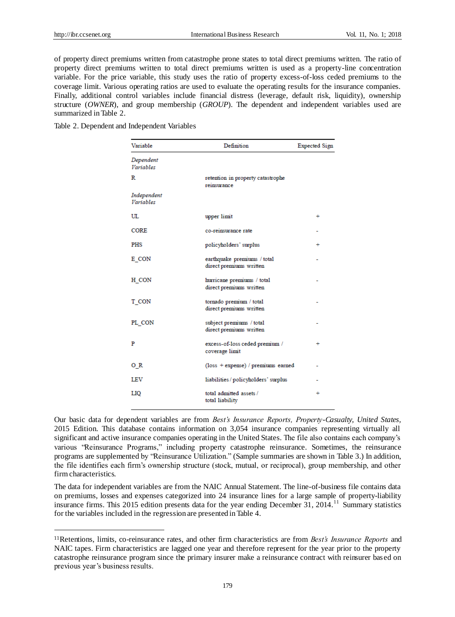1

of property direct premiums written from catastrophe prone states to total direct premiums written. The ratio of property direct premiums written to total direct premiums written is used as a property-line concentration variable. For the price variable, this study uses the ratio of property excess-of-loss ceded premiums to the coverage limit. Various operating ratios are used to evaluate the operating results for the insurance companies. Finally, additional control variables include financial distress (leverage, default risk, liquidity), ownership structure (*OWNER*), and group membership (*GROUP*). The dependent and independent variables used are summarized in Table 2.

Table 2. Dependent and Independent Variables

| Variable                        | Definition                                             | <b>Expected Sign</b> |
|---------------------------------|--------------------------------------------------------|----------------------|
| Dependent<br><b>Variables</b>   |                                                        |                      |
| R                               | retention in property catastrophe<br>reinsurance       |                      |
| Independent<br><b>Variables</b> |                                                        |                      |
| UL.                             | upper limit                                            | ÷                    |
| <b>CORE</b>                     | co-reinsurance rate                                    |                      |
| <b>PHS</b>                      | policyholders' surplus                                 | $\ddot{}$            |
| E CON                           | earthquake premiums / total<br>direct premiums written |                      |
| H_CON                           | hurricane premiums / total<br>direct premiums written  |                      |
| T CON                           | tornado premium / total<br>direct premiums written     |                      |
| PL CON                          | subject premiums / total<br>direct premiums written    |                      |
| P                               | excess-of-loss ceded premium /<br>coverage limit       | ÷                    |
| оĸ                              | $(\text{loss} + \text{expense})$ / premiums earned     |                      |
| <b>LEV</b>                      | liabilities / policyholders' surplus                   |                      |
| ПO                              | total admitted assets /<br>total liability             | ÷                    |

Our basic data for dependent variables are from *Best's Insurance Reports, Property-Casualty, United States,*  2015 Edition. This database contains information on 3,054 insurance companies representing virtually all significant and active insurance companies operating in the United States. The file also contains each company's various "Reinsurance Programs," including property catastrophe reinsurance. Sometimes, the reinsurance programs are supplemented by "Reinsurance Utilization." (Sample summaries are shown in Table 3.) In addition, the file identifies each firm's ownership structure (stock, mutual, or reciprocal), group membership, and other firm characteristics.

The data for independent variables are from the NAIC Annual Statement. The line-of-business file contains data on premiums, losses and expenses categorized into 24 insurance lines for a large sample of property-liability insurance firms. This 2015 edition presents data for the year ending December 31, 2014.<sup>11</sup> Summary statistics for the variables included in the regression are presented in Table 4.

<sup>11</sup>Retentions, limits, co-reinsurance rates, and other firm characteristics are from *Best's Insurance Reports* and NAIC tapes. Firm characteristics are lagged one year and therefore represent for the year prior to the property catastrophe reinsurance program since the primary insurer make a reinsurance contract with reinsurer based on previous year's business results.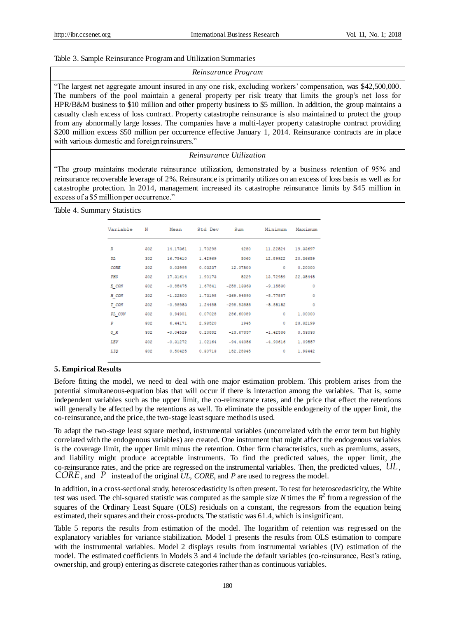#### Table 3. Sample Reinsurance Program and Utilization Summaries

*Reinsurance Program*

"The largest net aggregate amount insured in any one risk, excluding workers' compensation, was \$42,500,000. The numbers of the pool maintain a general property per risk treaty that limits the group's net loss for HPR/B&M business to \$10 million and other property business to \$5 million. In addition, the group maintains a casualty clash excess of loss contract. Property catastrophe reinsurance is also maintained to protect the group from any abnormally large losses. The companies have a multi-layer property catastrophe contract providing \$200 million excess \$50 million per occurrence effective January 1, 2014. Reinsurance contracts are in place with various domestic and foreign reinsurers."

## *Reinsurance Utilization*

"The group maintains moderate reinsurance utilization, demonstrated by a business retention of 95% and reinsurance recoverable leverage of 2%. Reinsurance is primarily utilizes on an excess of loss basis as well as for catastrophe protection. In 2014, management increased its catastrophe reinsurance limits by \$45 million in excess of a \$5 million per occurrence."

Table 4. Summary Statistics

| Variable | $_{\rm N}$ | Mean       | Std Dev | Sum          | Minimum    | Maximum  |
|----------|------------|------------|---------|--------------|------------|----------|
| R        | 302        | 14.17361   | 1,70298 | 4280         | 11.22524   | 19,33697 |
| UL       | 302        | 16.75410   | 1.42969 | 5060         | 12.89922   | 20.36659 |
| CORE     | 302        | 0.03998    | 0.03237 | 12.07500     | ٥          | 0.20000  |
| PHS      | 302        | 17.31614   | 1.90173 | 5229         | 13.72959   | 22.35445 |
| E CON    | 302        | $-0.85475$ | 1.67841 | $-258.13363$ | $-9.15530$ | ٥        |
| H CON    | 302        | $-1.22500$ | 1.73198 | $-369.94890$ | $-8.77887$ | ō        |
| T CON    | 302        | $-0.98953$ | 1.24485 | $-298.83858$ | $-5.85152$ | ٥        |
| PL CON   | 302        | 0.94901    | 0.07028 | 286.60089    | o          | 1,00000  |
| P        | 302        | 6.44171    | 2.93520 | 1945         | ٥          | 23.32199 |
| ΟR       | 302        | $-0.04529$ | 0.20882 | $-13.67857$  | $-1.42536$ | 0.53030  |
| LEV      | 302        | $-0.31272$ | 1.02164 | $-94.44056$  | $-4.90616$ | 1.09557  |
| LIQ      | 302        | 0.50425    | 0.30713 | 152.28345    | ٥          | 1.93442  |

#### **5. Empirical Results**

Before fitting the model, we need to deal with one major estimation problem. This problem arises from the potential simultaneous-equation bias that will occur if there is interaction among the variables. That is, some independent variables such as the upper limit, the co-reinsurance rates, and the price that effect the retentions will generally be affected by the retentions as well. To eliminate the possible endogeneity of the upper limit, the co-reinsurance, and the price, the two-stage least square method is used.

To adapt the two-stage least square method, instrumental variables (uncorrelated with the error term but highly correlated with the endogenous variables) are created. One instrument that might affect the endogenous variables is the coverage limit, the upper limit minus the retention. Other firm characteristics, such as premiums, assets, and liability might produce acceptable instruments. To find the predicted values, the upper limit, the co-reinsurance rates, and the price are regressed on the instrumental variables. Then, the predicted values, *UL* ,  *CORE* , and *P* instead of the original *UL*, *CORE*, and *P* are used to regress the model.

In addition, in a cross-sectional study, heteroscedasticity is often present. To test for heteroscedasticity, the White test was used. The chi-squared statistic was computed as the sample size  $N$  times the  $R^2$  from a regression of the squares of the Ordinary Least Square (OLS) residuals on a constant, the regressors from the equation being estimated, their squares and their cross-products. The statistic was 61.4, which is insignificant.

Table 5 reports the results from estimation of the model. The logarithm of retention was regressed on the explanatory variables for variance stabilization. Model 1 presents the results from OLS estimation to compare with the instrumental variables. Model 2 displays results from instrumental variables (IV) estimation of the model. The estimated coefficients in Models 3 and 4 include the default variables (co-reinsurance, Best's rating, ownership, and group) entering as discrete categories rather than as continuous variables.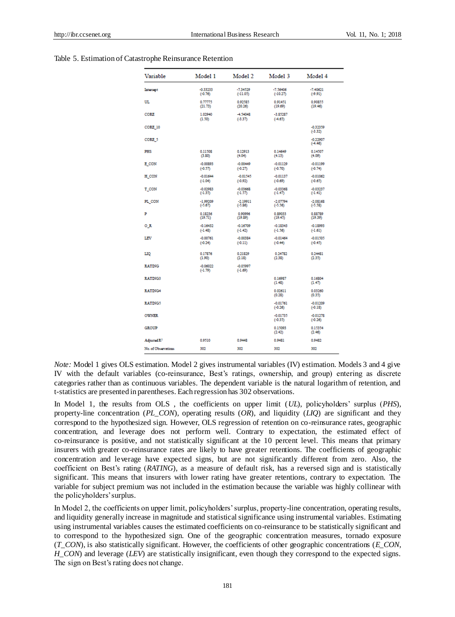| Variable                | Model 1                 | Model 2                 | Model 3                  | Model 4                 |
|-------------------------|-------------------------|-------------------------|--------------------------|-------------------------|
| Intercept               | $-0.33233$<br>$(-0.76)$ | -7.34529<br>$(-11.05)$  | $-7.56406$<br>$(-10.27)$ | $-7.40621$<br>$(-9.91)$ |
| UL                      | 0.77775<br>(21.73)      | 0.92585<br>(20.26)      | 0.91451<br>(19.69)       | 0.90855<br>(19.46)      |
| CORE                    | 1.02940<br>(1.50)       | $-4.54048$<br>$(-3.37)$ | $-3.85287$<br>$(-4.65)$  |                         |
| CORE 10                 |                         |                         |                          | $-0.32359$<br>$(-3.32)$ |
| CORE 5                  |                         |                         |                          | $-0.22907$<br>$(-4.46)$ |
| <b>PHS</b>              | 0.11508<br>(3.80)       | 0.12913<br>(4.04)       | 0.14649<br>(4.13)        | 0.14507<br>(4.09)       |
| E CON                   | $-0.00893$<br>(0.57)    | $-0.00449$<br>$(-0.27)$ | $-0.01129$<br>$(-0.70)$  | $-0.01199$<br>$(-0.74)$ |
| H CON                   | $-0.01644$<br>$(-1.04)$ | $-0.01545$<br>$(-0.92)$ | $-0.01137$<br>$(-0.69)$  | $-0.01062$<br>$(-0.65)$ |
| T CON                   | $-0.02983$<br>$(-1.35)$ | $-0.03668$<br>$(-1.57)$ | $-0.03368$<br>$(-1.47)$  | $-0.03237$<br>$(-1.41)$ |
| PL CON                  | $-1.99209$<br>(.5.67)   | $-2.19911$<br>$(-5.86)$ | $-2.07794$<br>(.5.56)    | $-2.08168$<br>$(-5.58)$ |
| p                       | 0.18236<br>(19.71)      | 0.90996<br>(19.89)      | 0.89033<br>(19.45)       | 0.88789<br>(19.39)      |
| оĸ                      | $-0.16432$<br>$(-1.48)$ | $-0.16709$<br>$(-1.42)$ | $-0.18343$<br>$(-1.56)$  | $-0.18993$<br>$(-1.61)$ |
| LEV                     | $-0.00761$<br>$(-0.24)$ | $-0.00384$<br>$(-0.11)$ | $-0.01464$<br>$(-0.44)$  | $-0.01505$<br>$(-0.45)$ |
| <b>LIO</b>              | 0.17876<br>(1.90)       | 0.21829<br>(2.18)       | 0.24782<br>(2.38)        | 0.24481<br>(2.35)       |
| <b>RATING</b>           | $-0.06022$<br>(1.79)    | $-0.05997$<br>$(-1.69)$ |                          |                         |
| <b>RATING3</b>          |                         |                         | 0.16987<br>(1.48)        | 0.16804<br>(1.47)       |
| <b>RATING4</b>          |                         |                         | 0.02611<br>(0.28)        | 0.03260<br>(0.35)       |
| <b>RATING5</b>          |                         |                         | $-0.01761$<br>$(-0.26)$  | $-0.01209$<br>$(-0.18)$ |
| <b>OWNER</b>            |                         |                         | $-0.01735$<br>$(-0.35)$  | $-0.01278$<br>$(-0.26)$ |
| <b>GROUP</b>            |                         |                         | 0.15093<br>(2.42)        | 0.15354<br>(2.46)       |
| Adjusted R <sup>2</sup> | 0.9510                  | 0.9448                  | 0.9481                   | 0.9482                  |
| No. of Observations     | 302                     | 302                     | 302                      | 302                     |

## Table 5. Estimation of Catastrophe Reinsurance Retention

*Note:* Model 1 gives OLS estimation. Model 2 gives instrumental variables (IV) estimation. Models 3 and 4 give IV with the default variables (co-reinsurance, Best's ratings, ownership, and group) entering as discrete categories rather than as continuous variables. The dependent variable is the natural logarithm of retention, and t-statistics are presented in parentheses. Each regression has 302 observations.

In Model 1, the results from OLS , the coefficients on upper limit (*UL*), policyholders' surplus (*PHS*), property-line concentration (*PL\_CON*), operating results (*OR*), and liquidity (*LIQ*) are significant and they correspond to the hypothesized sign. However, OLS regression of retention on co-reinsurance rates, geographic concentration, and leverage does not perform well. Contrary to expectation, the estimated effect of co-reinsurance is positive, and not statistically significant at the 10 percent level. This means that primary insurers with greater co-reinsurance rates are likely to have greater retentions. The coefficients of geographic concentration and leverage have expected signs, but are not significantly different from zero. Also, the coefficient on Best's rating (*RATING*), as a measure of default risk, has a reversed sign and is statistically significant. This means that insurers with lower rating have greater retentions, contrary to expectation. The variable for subject premium was not included in the estimation because the variable was highly collinear with the policyholders' surplus.

In Model 2, the coefficients on upper limit, policyholders' surplus, property-line concentration, operating results, and liquidity generally increase in magnitude and statistical significance using instrumental variables. Estimating using instrumental variables causes the estimated coefficients on co-reinsurance to be statistically significant and to correspond to the hypothesized sign. One of the geographic concentration measures, tornado exposure (*T\_CON*), is also statistically significant. However, the coefficients of other geographic concentrations (*E\_CON*, *H\_CON*) and leverage (*LEV*) are statistically insignificant, even though they correspond to the expected signs. The sign on Best's rating does not change.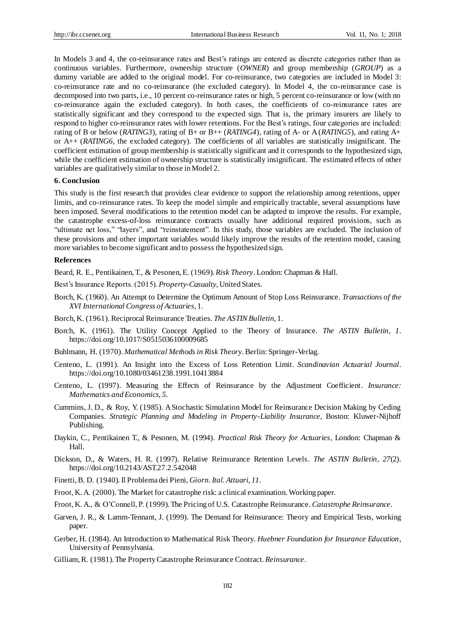In Models 3 and 4, the co-reinsurance rates and Best's ratings are entered as discrete categories rather than as continuous variables. Furthermore, ownership structure (*OWNER*) and group membership (*GROUP*) as a dummy variable are added to the original model. For co-reinsurance, two categories are included in Model 3: co-reinsurance rate and no co-reinsurance (the excluded category). In Model 4, the co-reinsurance case is decomposed into two parts, i.e., 10 percent co-reinsurance rates or high, 5 percent co-reinsurance or low (with no co-reinsurance again the excluded category). In both cases, the coefficients of co-reinsurance rates are statistically significant and they correspond to the expected sign. That is, the primary insurers are likely to respond to higher co-reinsurance rates with lower retentions. For the Best's ratings, four categories are included: rating of B or below (*RATING3*), rating of B+ or B++ (*RATING4*), rating of A- or A (*RATING5*), and rating A+ or A++ (*RATING6*, the excluded category). The coefficients of all variables are statistically insignificant. The coefficient estimation of group membership is statistically significant and it corresponds to the hypothesized sign, while the coefficient estimation of ownership structure is statistically insignificant. The estimated effects of other variables are qualitatively similar to those in Model 2.

#### **6. Conclusion**

This study is the first research that provides clear evidence to support the relationship among retentions, upper limits, and co-reinsurance rates. To keep the model simple and empirically tractable, several assumptions have been imposed. Several modifications to the retention model can be adapted to improve the results. For example, the catastrophe excess-of-loss reinsurance contracts usually have additional required provisions, such as "ultimate net loss," "layers", and "reinstatement". In this study, those variables are excluded. The inclusion of these provisions and other important variables would likely improve the results of the retention model, causing more variables to become significant and to possess the hypothesized sign.

#### **References**

Beard, R. E., Pentikainen, T., & Pesonen, E. (1969). *Risk Theory*. London: Chapman & Hall.

Best's Insurance Reports. (2015). *Property-Casualty*, United States.

- Borch, K. (1960). An Attempt to Determine the Optimum Amount of Stop Loss Reinsurance. *Transactions of the XVI International Congress of Actuaries*, 1.
- Borch, K. (1961). Reciprocal Reinsurance Treaties. *The ASTIN Bulletin*, 1.
- Borch, K. (1961). The Utility Concept Applied to the Theory of Insurance. *The ASTIN Bulletin*, *1*. https://doi.org/10.1017/S0515036100009685
- Buhlmann, H. (1970). *Mathematical Methods in Risk Theory*. Berlin: Springer-Verlag.
- Centeno, L. (1991). An Insight into the Excess of Loss Retention Limit. *Scandinavian Actuarial Journal*. https://doi.org/10.1080/03461238.1991.10413884
- Centeno, L. (1997). Measuring the Effects of Reinsurance by the Adjustment Coefficient. *Insurance: Mathematics and Economics*, *5.*
- Cummins, J. D., & Roy, Y. (1985). A Stochastic Simulation Model for Reinsurance Decision Making by Ceding Companies. *Strategic Planning and Modeling in Property-Liability Insurance*, Boston: Kluwer-Nijhoff Publishing.
- Daykin, C., Pentikainen T., & Pesonen, M. (1994). *Practical Risk Theory for Actuaries*, London: Chapman & Hall.
- Dickson, D., & Waters, H. R. (1997). Relative Reinsurance Retention Levels. *The ASTIN Bulletin*, *27*(2). https://doi.org/10.2143/AST.27.2.542048
- Finetti, B. D. (1940).Il Problema dei Pieni, *Giorn. Ital. Attuari*, *11.*
- Froot, K. A. (2000). The Market for catastrophe risk: a clinical examination. Working paper.
- Froot, K. A., & O'Connell, P. (1999). The Pricing of U.S. Catastrophe Reinsurance.*Catastrophe Reinsurance*.
- Garven, J. R., & Lamm-Tennant, J. (1999). The Demand for Reinsurance: Theory and Empirical Tests, working paper.
- Gerber, H. (1984). An Introduction to Mathematical Risk Theory. *Huebner Foundation for Insurance Education*, University of Pennsylvania.
- Gilliam, R. (1981). The Property Catastrophe Reinsurance Contract. *Reinsurance*.